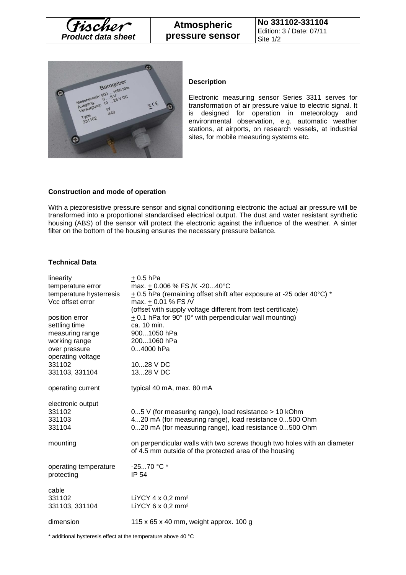



## **Description**

Electronic measuring sensor Series 3311 serves for transformation of air pressure value to electric signal. It is designed for operation in meteorology and environmental observation, e.g. automatic weather stations, at airports, on research vessels, at industrial sites, for mobile measuring systems etc.

### **Construction and mode of operation**

With a piezoresistive pressure sensor and signal conditioning electronic the actual air pressure will be transformed into a proportional standardised electrical output. The dust and water resistant synthetic housing (ABS) of the sensor will protect the electronic against the influence of the weather. A sinter filter on the bottom of the housing ensures the necessary pressure balance.

### **Technical Data**

| linearity               | $+0.5$ hPa                                                                                                                         |  |  |
|-------------------------|------------------------------------------------------------------------------------------------------------------------------------|--|--|
| temperature error       | max. + 0.006 % FS /K -2040°C                                                                                                       |  |  |
| temperature hysterresis | + 0.5 hPa (remaining offset shift after exposure at -25 oder 40°C) *                                                               |  |  |
| Vcc offset error        | max. + 0.01 % FS /V                                                                                                                |  |  |
|                         | (offset with supply voltage different from test certificate)                                                                       |  |  |
| position error          | + 0.1 hPa for 90° (0° with perpendicular wall mounting)                                                                            |  |  |
| settling time           | ca. 10 min.                                                                                                                        |  |  |
| measuring range         | 9001050 hPa                                                                                                                        |  |  |
| working range           | 2001060 hPa                                                                                                                        |  |  |
| over pressure           | 04000 hPa                                                                                                                          |  |  |
| operating voltage       |                                                                                                                                    |  |  |
| 331102                  | 1028 V DC                                                                                                                          |  |  |
| 331103, 331104          | 1328 V DC                                                                                                                          |  |  |
| operating current       | typical 40 mA, max. 80 mA                                                                                                          |  |  |
| electronic output       |                                                                                                                                    |  |  |
| 331102                  | 05 V (for measuring range), load resistance > 10 kOhm                                                                              |  |  |
| 331103                  | 420 mA (for measuring range), load resistance 0500 Ohm                                                                             |  |  |
| 331104                  | 020 mA (for measuring range), load resistance 0500 Ohm                                                                             |  |  |
| mounting                | on perpendicular walls with two screws though two holes with an diameter<br>of 4.5 mm outside of the protected area of the housing |  |  |
| operating temperature   | $-2570$ °C $*$                                                                                                                     |  |  |
| protecting              | <b>IP 54</b>                                                                                                                       |  |  |
| cable                   |                                                                                                                                    |  |  |
| 331102                  | LiYCY $4 \times 0.2$ mm <sup>2</sup>                                                                                               |  |  |
| 331103, 331104          | LiYCY 6 x 0,2 mm <sup>2</sup>                                                                                                      |  |  |
| dimension               | 115 x 65 x 40 mm, weight approx. 100 g                                                                                             |  |  |

\* additional hysteresis effect at the temperature above 40 °C